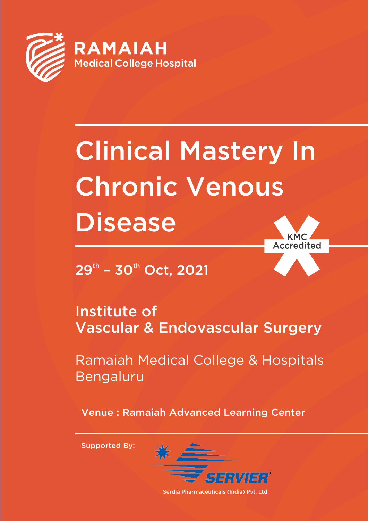

# Clinical Mastery In Chronic Venous **Disease** KMC

credited

 $29<sup>th</sup>$  – 30<sup>th</sup> Oct, 2021

Institute of Vascular & Endovascular Surgery

Ramaiah Medical College & Hospitals Bengaluru

Venue : Ramaiah Advanced Learning Center

Supported By:



Serdia Pharmaceuticals (India) Pvt. Ltd.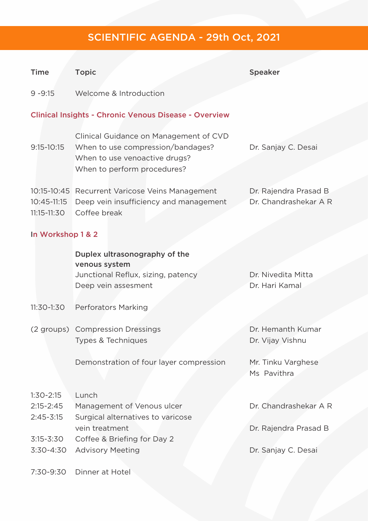## SCIENTIFIC AGENDA - 29th Oct, 2021

| <b>Time</b>                                                  | <b>Topic</b>                                                                                                 | <b>Speaker</b>                                 |  |  |  |
|--------------------------------------------------------------|--------------------------------------------------------------------------------------------------------------|------------------------------------------------|--|--|--|
| $9 - 9:15$                                                   | Welcome & Introduction                                                                                       |                                                |  |  |  |
| <b>Clinical Insights - Chronic Venous Disease - Overview</b> |                                                                                                              |                                                |  |  |  |
| 9:15-10:15                                                   | Clinical Guidance on Management of CVD<br>When to use compression/bandages?<br>When to use venoactive drugs? | Dr. Sanjay C. Desai                            |  |  |  |
|                                                              | When to perform procedures?                                                                                  |                                                |  |  |  |
| 10:45-11:15<br>11:15-11:30                                   | 10:15-10:45 Recurrent Varicose Veins Management<br>Deep vein insufficiency and management<br>Coffee break    | Dr. Rajendra Prasad B<br>Dr. Chandrashekar A R |  |  |  |
| In Workshop 1 & 2                                            |                                                                                                              |                                                |  |  |  |
|                                                              | Duplex ultrasonography of the<br>venous system                                                               |                                                |  |  |  |
|                                                              | Junctional Reflux, sizing, patency<br>Deep vein assesment                                                    | Dr. Nivedita Mitta<br>Dr. Hari Kamal           |  |  |  |
| 11:30-1:30                                                   | <b>Perforators Marking</b>                                                                                   |                                                |  |  |  |
|                                                              | (2 groups) Compression Dressings<br>Types & Techniques                                                       | Dr. Hemanth Kumar<br>Dr. Vijay Vishnu          |  |  |  |
|                                                              | Demonstration of four layer compression                                                                      | Mr. Tinku Varghese<br>Ms Pavithra              |  |  |  |
| $1:30-2:15$                                                  | Lunch                                                                                                        |                                                |  |  |  |
| $2:15 - 2:45$<br>$2:45 - 3:15$                               | Management of Venous ulcer<br>Surgical alternatives to varicose                                              | Dr. Chandrashekar A R                          |  |  |  |
| $3:15 - 3:30$                                                | vein treatment                                                                                               | Dr. Rajendra Prasad B                          |  |  |  |
| $3:30 - 4:30$                                                | Coffee & Briefing for Day 2<br><b>Advisory Meeting</b>                                                       | Dr. Sanjay C. Desai                            |  |  |  |
| 7:30-9:30                                                    | Dinner at Hotel                                                                                              |                                                |  |  |  |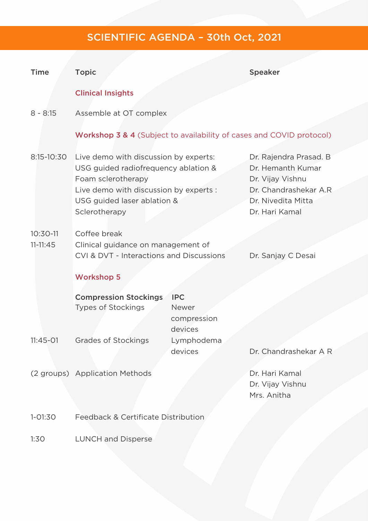## SCIENTIFIC AGENDA – 30th Oct, 2021

| <b>Time</b>                | <b>Topic</b>                                                                                                                                                                                  |                        | <b>Speaker</b>                                                                                                                    |  |
|----------------------------|-----------------------------------------------------------------------------------------------------------------------------------------------------------------------------------------------|------------------------|-----------------------------------------------------------------------------------------------------------------------------------|--|
|                            | <b>Clinical Insights</b>                                                                                                                                                                      |                        |                                                                                                                                   |  |
| $8 - 8:15$                 | Assemble at OT complex                                                                                                                                                                        |                        |                                                                                                                                   |  |
|                            | Workshop 3 & 4 (Subject to availability of cases and COVID protocol)                                                                                                                          |                        |                                                                                                                                   |  |
| 8:15-10:30                 | Live demo with discussion by experts:<br>USG guided radiofrequency ablation &<br>Foam sclerotherapy<br>Live demo with discussion by experts :<br>USG guided laser ablation &<br>Sclerotherapy |                        | Dr. Rajendra Prasad. B<br>Dr. Hemanth Kumar<br>Dr. Vijay Vishnu<br>Dr. Chandrashekar A.R.<br>Dr. Nivedita Mitta<br>Dr. Hari Kamal |  |
| $10:30-11$<br>$11 - 11:45$ | Coffee break<br>Clinical guidance on management of                                                                                                                                            |                        |                                                                                                                                   |  |
|                            | CVI & DVT - Interactions and Discussions                                                                                                                                                      |                        | Dr. Sanjay C Desai                                                                                                                |  |
|                            | <b>Workshop 5</b>                                                                                                                                                                             |                        |                                                                                                                                   |  |
|                            | <b>Compression Stockings</b><br><b>Types of Stockings</b>                                                                                                                                     | <b>IPC</b><br>Newer    |                                                                                                                                   |  |
|                            |                                                                                                                                                                                               | compression<br>devices |                                                                                                                                   |  |
| $11:45-01$                 | <b>Grades of Stockings</b>                                                                                                                                                                    | Lymphodema<br>devices  | Dr. Chandrashekar A R                                                                                                             |  |
|                            | (2 groups) Application Methods                                                                                                                                                                |                        | Dr. Hari Kamal<br>Dr. Vijay Vishnu<br>Mrs. Anitha                                                                                 |  |
| $1 - 01:30$                | Feedback & Certificate Distribution                                                                                                                                                           |                        |                                                                                                                                   |  |
| 1:30                       | <b>LUNCH and Disperse</b>                                                                                                                                                                     |                        |                                                                                                                                   |  |